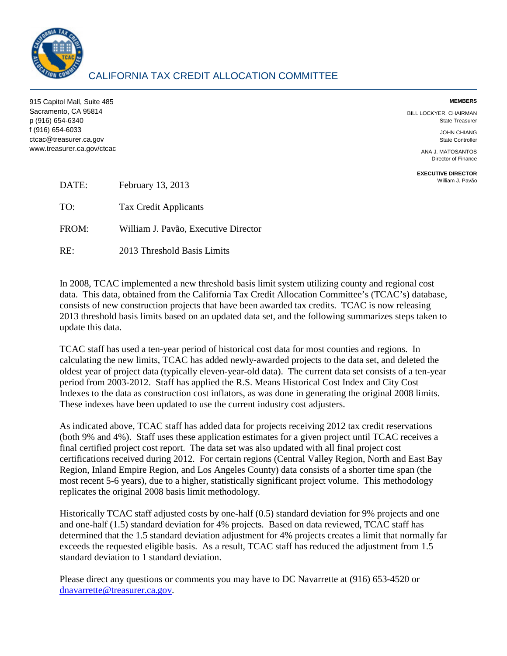

915 Capitol Mall, Suite 485 **MEMBERS**  Sacramento, CA 95814 BILL LOCKYER, CHAIRMAN p (916) 654-6340 State Treasurer f (916) 654-6033 JOHN CHIANG ctcac@treasurer.ca.gov State Controller www.treasurer.ca.gov/ctcac ANA J. MATOSANTOS

Director of Finance

**EXECUTIVE DIRECTOR** 

| DATE: | February 13, 2013                    | William J. Pavão |
|-------|--------------------------------------|------------------|
| TO:   | Tax Credit Applicants                |                  |
| FROM: | William J. Pavão, Executive Director |                  |
| RE:   | 2013 Threshold Basis Limits          |                  |

In 2008, TCAC implemented a new threshold basis limit system utilizing county and regional cost data. This data, obtained from the California Tax Credit Allocation Committee's (TCAC's) database, consists of new construction projects that have been awarded tax credits. TCAC is now releasing 2013 threshold basis limits based on an updated data set, and the following summarizes steps taken to update this data.

 Indexes to the data as construction cost inflators, as was done in generating the original 2008 limits. These indexes have been updated to use the current industry cost adjusters. TCAC staff has used a ten-year period of historical cost data for most counties and regions. In calculating the new limits, TCAC has added newly-awarded projects to the data set, and deleted the oldest year of project data (typically eleven-year-old data). The current data set consists of a ten-year period from 2003-2012. Staff has applied the R.S. Means Historical Cost Index and City Cost

 (both 9% and 4%). Staff uses these application estimates for a given project until TCAC receives a final certified project cost report. The data set was also updated with all final project cost replicates the original 2008 basis limit methodology. As indicated above, TCAC staff has added data for projects receiving 2012 tax credit reservations certifications received during 2012. For certain regions (Central Valley Region, North and East Bay Region, Inland Empire Region, and Los Angeles County) data consists of a shorter time span (the most recent 5-6 years), due to a higher, statistically significant project volume. This methodology

Historically TCAC staff adjusted costs by one-half (0.5) standard deviation for 9% projects and one and one-half (1.5) standard deviation for 4% projects. Based on data reviewed, TCAC staff has determined that the 1.5 standard deviation adjustment for 4% projects creates a limit that normally far exceeds the requested eligible basis. As a result, TCAC staff has reduced the adjustment from 1.5 standard deviation to 1 standard deviation.

Please direct any questions or comments you may have to DC Navarrette at (916) 653-4520 or [dnavarrette@treasurer.ca.gov.](mailto:dnavarrette@treasurer.ca.gov)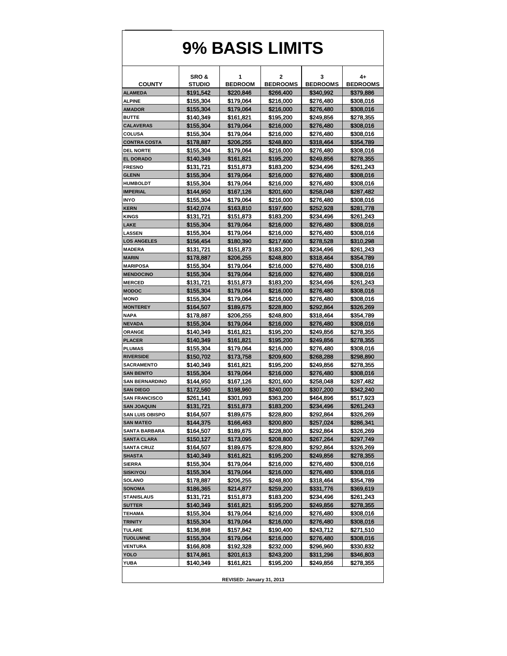## **9% BASIS LIMITS**

|                                   | SRO&                   | 1                      | 2                      | 3                      | 4+                     |  |  |  |
|-----------------------------------|------------------------|------------------------|------------------------|------------------------|------------------------|--|--|--|
| <b>COUNTY</b>                     | <b>STUDIO</b>          | <b>BEDROOM</b>         | <b>BEDROOMS</b>        | <b>BEDROOMS</b>        | <b>BEDROOMS</b>        |  |  |  |
| <b>ALAMEDA</b>                    | \$191,542              | \$220,846              | \$266,400              | \$340,992              | \$379,886              |  |  |  |
| <b>ALPINE</b>                     | \$155,304              | \$179,064              | \$216,000              | \$276,480              | \$308,016              |  |  |  |
| <b>AMADOR</b>                     | \$155,304              | \$179,064              | \$216,000              | \$276,480              | \$308,016              |  |  |  |
| <b>BUTTE</b>                      | \$140,349              | \$161,821              | \$195,200              | \$249,856              | \$278,355              |  |  |  |
| <b>CALAVERAS</b>                  | \$155,304              | \$179,064              | \$216,000              | \$276,480              | \$308,016              |  |  |  |
| <b>COLUSA</b>                     | \$155,304              | \$179,064              | \$216,000              | \$276,480              | \$308,016              |  |  |  |
| <b>CONTRA COSTA</b>               | \$178,887              | \$206,255              | \$248,800              | \$318,464              | \$354,789              |  |  |  |
| <b>DEL NORTE</b>                  | \$155,304              | \$179,064              | \$216,000              | \$276.480              | \$308,016              |  |  |  |
| <b>EL DORADO</b>                  | \$140,349              | \$161,821              | \$195,200              | \$249,856              | \$278,355              |  |  |  |
| <b>FRESNO</b>                     | \$131,721              | \$151,873              | \$183,200              | \$234,496              | \$261,243              |  |  |  |
| <b>GLENN</b>                      | \$155,304              | \$179,064              | \$216,000              | \$276,480              | \$308,016              |  |  |  |
| <b>HUMBOLDT</b>                   | \$155,304              | \$179,064              | \$216,000              | \$276,480              | \$308,016              |  |  |  |
| <b>IMPERIAL</b>                   | \$144,950              | \$167,126              | \$201,600              | \$258,048              | \$287,482              |  |  |  |
| <b>INYO</b>                       | \$155,304              | \$179,064              | \$216,000              | \$276,480              | \$308,016              |  |  |  |
| <b>KERN</b>                       | \$142,074              | \$163,810              | \$197,600              | \$252,928              | \$281,778              |  |  |  |
| <b>KINGS</b>                      | \$131,721              | \$151,873              | \$183,200              | \$234,496              | \$261,243              |  |  |  |
| LAKE                              | \$155,304              | \$179,064              | \$216,000              | \$276,480              | \$308,016              |  |  |  |
| <b>LASSEN</b>                     | \$155,304              | \$179,064              | \$216.000              | \$276,480              | \$308,016              |  |  |  |
| <b>LOS ANGELES</b>                | \$156,454              | \$180,390              | \$217,600              | \$278,528              | \$310,298              |  |  |  |
| <b>MADERA</b>                     | \$131,721              | \$151,873              | \$183,200              | \$234.496              | \$261,243              |  |  |  |
| <b>MARIN</b>                      | \$178,887              | \$206,255              | \$248,800              | \$318,464              | \$354,789              |  |  |  |
| <b>MARIPOSA</b>                   | \$155,304              | \$179,064              | \$216,000              | \$276,480              | \$308,016              |  |  |  |
| <b>MENDOCINO</b><br><b>MERCED</b> | \$155,304              | \$179,064              | \$216,000              | \$276,480              | \$308,016              |  |  |  |
|                                   | \$131,721              | \$151,873              | \$183,200              | \$234,496              | \$261,243<br>\$308,016 |  |  |  |
| <b>MODOC</b><br><b>MONO</b>       | \$155,304<br>\$155,304 | \$179,064<br>\$179,064 | \$216,000              | \$276,480<br>\$276,480 |                        |  |  |  |
| <b>MONTEREY</b>                   | \$164,507              | \$189,675              | \$216,000<br>\$228,800 | \$292,864              | \$308,016<br>\$326,269 |  |  |  |
| <b>NAPA</b>                       | \$178,887              | \$206,255              | \$248,800              | \$318,464              | \$354,789              |  |  |  |
| <b>NEVADA</b>                     | \$155,304              | \$179,064              | \$216,000              | \$276,480              | \$308,016              |  |  |  |
| <b>ORANGE</b>                     | \$140,349              | \$161,821              | \$195,200              | \$249,856              | \$278,355              |  |  |  |
| <b>PLACER</b>                     | \$140,349              | \$161,821              | \$195,200              | \$249,856              | \$278,355              |  |  |  |
| <b>PLUMAS</b>                     | \$155,304              | \$179,064              | \$216,000              | \$276,480              | \$308,016              |  |  |  |
| <b>RIVERSIDE</b>                  | \$150,702              | \$173,758              | \$209,600              | \$268,288              | \$298,890              |  |  |  |
| <b>SACRAMENTO</b>                 | \$140,349              | \$161,821              | \$195,200              | \$249,856              | \$278,355              |  |  |  |
| <b>SAN BENITO</b>                 | \$155,304              | \$179,064              | \$216,000              | \$276,480              | \$308,016              |  |  |  |
| <b>SAN BERNARDINO</b>             | \$144,950              | \$167,126              | \$201,600              | \$258,048              | \$287,482              |  |  |  |
| <b>SAN DIEGO</b>                  | \$172,560              | \$198,960              | \$240,000              | \$307,200              | \$342,240              |  |  |  |
| <b>SAN FRANCISCO</b>              | \$261,141              | \$301,093              | \$363,200              | \$464,896              | \$517,923              |  |  |  |
| <b>SAN JOAQUIN</b>                | \$131,721              | \$151,873              | \$183,200              | \$234,496              | \$261,243              |  |  |  |
| <b>SAN LUIS OBISPO</b>            | \$164,507              | \$189,675              | \$228.800              | \$292.864              | \$326,269              |  |  |  |
| <b>SAN MATEO</b>                  | \$144,375              | \$166,463              | \$200,800              | \$257,024              | \$286,341              |  |  |  |
| <b>SANTA BARBARA</b>              | \$164,507              | \$189,675              | \$228,800              | \$292,864              | \$326,269              |  |  |  |
| <b>SANTA CLARA</b>                | \$150,127              | \$173,095              | \$208,800              | \$267,264              | \$297,749              |  |  |  |
| <b>SANTA CRUZ</b>                 | \$164,507              | \$189,675              | \$228,800              | \$292,864              | \$326,269              |  |  |  |
| <b>SHASTA</b>                     | \$140,349              | \$161,821              | \$195,200              | \$249,856              | \$278,355              |  |  |  |
| <b>SIERRA</b>                     | \$155,304              | \$179,064              | \$216,000              | \$276,480              | \$308,016              |  |  |  |
| <b>SISKIYOU</b>                   | \$155,304              | \$179,064              | \$216,000              | \$276,480              | \$308,016              |  |  |  |
| SOLANO                            | \$178,887              | \$206,255              | \$248,800              | \$318,464              | \$354,789              |  |  |  |
| <b>SONOMA</b>                     | \$186,365              | \$214,877              | \$259,200              | \$331,776              | \$369,619              |  |  |  |
| <b>STANISLAUS</b>                 | \$131,721              | \$151,873              | \$183,200              | \$234,496              | \$261,243              |  |  |  |
| <b>SUTTER</b>                     | \$140,349              | \$161,821              | \$195,200              | \$249,856              | \$278,355              |  |  |  |
| <b>TEHAMA</b>                     | \$155,304              | \$179,064              | \$216,000              | \$276,480              | \$308,016              |  |  |  |
| <b>TRINITY</b>                    | \$155,304              | \$179,064              | \$216,000              | \$276,480              | \$308,016              |  |  |  |
| TULARE                            | \$136,898              | \$157,842              | \$190,400              | \$243,712              | \$271,510              |  |  |  |
| <b>TUOLUMNE</b>                   | \$155,304              | \$179,064              | \$216,000              | \$276,480              | \$308,016              |  |  |  |
| <b>VENTURA</b>                    | \$166,808              | \$192,328              | \$232,000              | \$296,960              | \$330,832              |  |  |  |
| <b>YOLO</b>                       | \$174,861              | \$201,613              | \$243,200              | \$311,296              | \$346,803              |  |  |  |
| <b>YUBA</b>                       | \$140,349              | \$161,821              | \$195,200              | \$249,856              | \$278,355              |  |  |  |
|                                   |                        |                        |                        |                        |                        |  |  |  |
| REVISED: January 31, 2013         |                        |                        |                        |                        |                        |  |  |  |